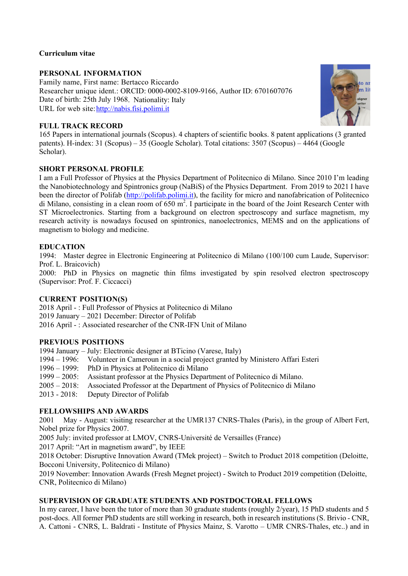## **Curriculum vitae**

## **PERSONAL INFORMATION**

Family name, First name: Bertacco Riccardo Researcher unique ident.: ORCID: 0000-0002-8109-9166, Author ID: 6701607076 Date of birth: 25th July 1968. Nationality: Italy URL for web site: http://nabis.fisi.polimi.it



## **FULL TRACK RECORD**

165 Papers in international journals (Scopus). 4 chapters of scientific books. 8 patent applications (3 granted patents). H-index: 31 (Scopus) – 35 (Google Scholar). Total citations: 3507 (Scopus) – 4464 (Google Scholar).

# **SHORT PERSONAL PROFILE**

I am a Full Professor of Physics at the Physics Department of Politecnico di Milano. Since 2010 I'm leading the Nanobiotechnology and Spintronics group (NaBiS) of the Physics Department. From 2019 to 2021 I have been the director of Polifab (http://polifab.polimi.it), the facility for micro and nanofabrication of Politecnico di Milano, consisting in a clean room of  $650 \text{ m}^2$ . I participate in the board of the Joint Research Center with ST Microelectronics. Starting from a background on electron spectroscopy and surface magnetism, my research activity is nowadays focused on spintronics, nanoelectronics, MEMS and on the applications of magnetism to biology and medicine.

## **EDUCATION**

1994: Master degree in Electronic Engineering at Politecnico di Milano (100/100 cum Laude, Supervisor: Prof. L. Braicovich)

2000: PhD in Physics on magnetic thin films investigated by spin resolved electron spectroscopy (Supervisor: Prof. F. Ciccacci)

## **CURRENT POSITION(S)**

2018 April - : Full Professor of Physics at Politecnico di Milano 2019 January – 2021 December: Director of Polifab 2016 April - : Associated researcher of the CNR-IFN Unit of Milano

## **PREVIOUS POSITIONS**

1994 January – July: Electronic designer at BTicino (Varese, Italy)

- 1994 1996: Volunteer in Cameroun in a social project granted by Ministero Affari Esteri
- 1996 1999: PhD in Physics at Politecnico di Milano
- 1999 2005: Assistant professor at the Physics Department of Politecnico di Milano.
- 2005 2018: Associated Professor at the Department of Physics of Politecnico di Milano
- 2013 2018: Deputy Director of Polifab

## **FELLOWSHIPS AND AWARDS**

2001 May - August: visiting researcher at the UMR137 CNRS-Thales (Paris), in the group of Albert Fert, Nobel prize for Physics 2007.

2005 July: invited professor at LMOV, CNRS-Université de Versailles (France)

2017 April: "Art in magnetism award", by IEEE

2018 October: Disruptive Innovation Award (TMek project) – Switch to Product 2018 competition (Deloitte, Bocconi University, Politecnico di Milano)

2019 November: Innovation Awards (Fresh Megnet project) - Switch to Product 2019 competition (Deloitte, CNR, Politecnico di Milano)

## **SUPERVISION OF GRADUATE STUDENTS AND POSTDOCTORAL FELLOWS**

In my career, I have been the tutor of more than 30 graduate students (roughly 2/year), 15 PhD students and 5 post-docs. All former PhD students are still working in research, both in research institutions (S. Brivio - CNR, A. Cattoni - CNRS, L. Baldrati - Institute of Physics Mainz, S. Varotto – UMR CNRS-Thales, etc..) and in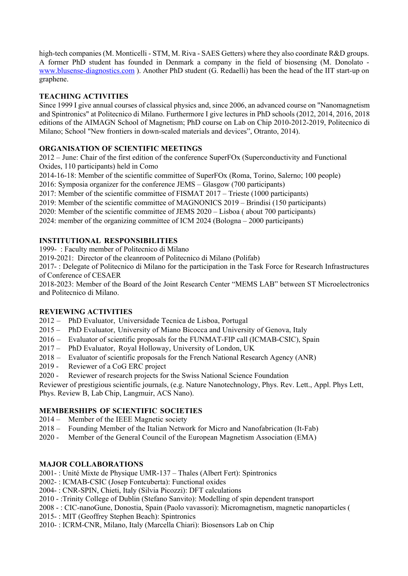high-tech companies (M. Monticelli - STM, M. Riva - SAES Getters) where they also coordinate R&D groups. A former PhD student has founded in Denmark a company in the field of biosensing (M. Donolato www.blusense-diagnostics.com ). Another PhD student (G. Redaelli) has been the head of the IIT start-up on graphene.

# **TEACHING ACTIVITIES**

Since 1999 I give annual courses of classical physics and, since 2006, an advanced course on "Nanomagnetism and Spintronics" at Politecnico di Milano. Furthermore I give lectures in PhD schools (2012, 2014, 2016, 2018 editions of the AIMAGN School of Magnetism; PhD course on Lab on Chip 2010-2012-2019, Politecnico di Milano; School "New frontiers in down-scaled materials and devices", Otranto, 2014).

# **ORGANISATION OF SCIENTIFIC MEETINGS**

2012 – June: Chair of the first edition of the conference SuperFOx (Superconductivity and Functional Oxides, 110 participants) held in Como

2014-16-18: Member of the scientific committee of SuperFOx (Roma, Torino, Salerno; 100 people)

2016: Symposia organizer for the conference JEMS – Glasgow (700 participants)

2017: Member of the scientific committee of FISMAT 2017 – Trieste (1000 participants)

2019: Member of the scientific committee of MAGNONICS 2019 – Brindisi (150 participants)

2020: Member of the scientific committee of JEMS 2020 – Lisboa ( about 700 participants)

2024: member of the organizing committee of ICM 2024 (Bologna – 2000 participants)

## **INSTITUTIONAL RESPONSIBILITIES**

1999- : Faculty member of Politecnico di Milano

2019-2021: Director of the cleanroom of Politecnico di Milano (Polifab)

2017- : Delegate of Politecnico di Milano for the participation in the Task Force for Research Infrastructures of Conference of CESAER

2018-2023: Member of the Board of the Joint Research Center "MEMS LAB" between ST Microelectronics and Politecnico di Milano.

## **REVIEWING ACTIVITIES**

- 2012 PhD Evaluator, Universidade Tecnica de Lisboa, Portugal
- 2015 PhD Evaluator, University of Miano Bicocca and University of Genova, Italy
- 2016 Evaluator of scientific proposals for the FUNMAT-FIP call (ICMAB-CSIC), Spain
- 2017 PhD Evaluator, Royal Holloway, University of London, UK
- 2018 Evaluator of scientific proposals for the French National Research Agency (ANR)
- 2019 Reviewer of a CoG ERC project
- 2020 Reviewer of research projects for the Swiss National Science Foundation

Reviewer of prestigious scientific journals, (e.g. Nature Nanotechnology, Phys. Rev. Lett., Appl. Phys Lett, Phys. Review B, Lab Chip, Langmuir, ACS Nano).

## **MEMBERSHIPS OF SCIENTIFIC SOCIETIES**

- 2014 Member of the IEEE Magnetic society
- 2018 Founding Member of the Italian Network for Micro and Nanofabrication (It-Fab)
- 2020 Member of the General Council of the European Magnetism Association (EMA)

#### **MAJOR COLLABORATIONS**

2001- : Unité Mixte de Physique UMR-137 – Thales (Albert Fert): Spintronics

2002- : ICMAB-CSIC (Josep Fontcuberta): Functional oxides

2004- : CNR-SPIN, Chieti, Italy (Silvia Picozzi): DFT calculations

2010 - :Trinity College of Dublin (Stefano Sanvito): Modelling of spin dependent transport

2008 - : CIC-nanoGune, Donostia, Spain (Paolo vavassori): Micromagnetism, magnetic nanoparticles (

2015- : MIT (Geoffrey Stephen Beach): Spintronics

2010- : ICRM-CNR, Milano, Italy (Marcella Chiari): Biosensors Lab on Chip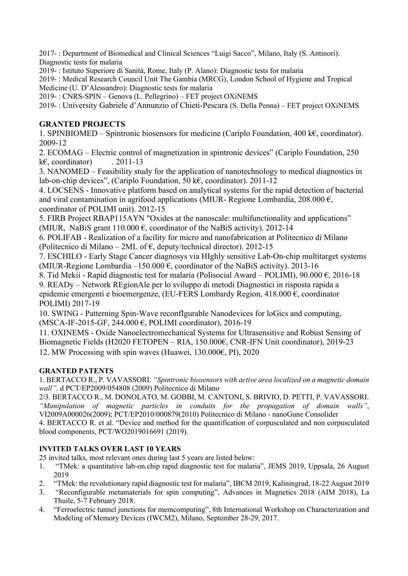2017- : Department of Biomedical and Clinical Sciences "Luigi Sacco", Milano, Italy (S. Antinori): Diagnostic tests for malaria

2019- : Istituto Superiore di Sanità, Rome, Italy (P. Alano): Diagnostic tests for malaria

2019- : Medical Research Council Unit The Gambia (MRCG), London School of Hygiene and Tropical Medicine (U. D'Alessandro): Diagnostic tests for malaria

2019- : CNRS-SPIN – Genova (L. Pellegrino) – FET project OXiNEMS

2019- : University Gabriele d'Annunzio of Chieti-Pescara (S. Della Penna) – FET project OXiNEMS

# **GRANTED PROJECTS**

1. SPINBIOMED – Spintronic biosensors for medicine (Cariplo Foundation, 400 k $\epsilon$ , coordinator). 2009-12

2. ECOMAG – Electric control of magnetization in spintronic devices" (Cariplo Foundation, 250 k $\epsilon$ , coordinator) . 2011-13

3. NANOMED – Feasibility study for the application of nanotechnology to medical diagnostics in lab-on-chip devices", (Cariplo Foundation, 50 k€, coordinator). 2011-12

4. LOCSENS - Innovative platform based on analytical systems for the rapid detection of bacterial and viral contamination in agrifood applications (MIUR- Regione Lombardia,  $208.000 \text{ } \epsilon$ ). coordinator of POLIMI unit). 2012-15

5. FIRB Project RBAP115AYN "Oxides at the nanoscale: multifunctionality and applications" (MIUR, NaBiS grant 110.000  $\epsilon$ , coordinator of the NaBiS activity). 2012-14

6. POLIFAB - Realization of a facility for micro and nanofabrication at Politecnico di Milano (Politecnico di Milano – 2ML of  $\epsilon$ , deputy/technical director). 2012-15

7. ESCHILO - Early Stage Cancer diagnosys via HIghly sensitive Lab-On-chip multitarget systems (MIUR-Regione Lombardia –150.000  $\epsilon$ , coordinator of the NaBiS activity). 2013-16

8. Tid Mekii - Rapid diagnostic test for malaria (Polisocial Award – POLIMI),  $90.000 \in 2016-18$ 

9. READy – Network REgionAle per lo sviluppo di metodi Diagnostici in risposta rapida a epidemie emergenti e bioemergenze, (EU-FERS Lombardy Region, 418.000 €, coordinator POLIMI) 2017-19

10. SWING - Patterning Spin-Wave reconfIgurable Nanodevices for loGics and computing, (MSCA-IF-2015-GF, 244.000 €, POLIMI coordinator), 2016-19

11. OXINEMS - Oxide Nanoelectromechanical Systems for Ultrasensitive and Robust Sensing of Biomagnetic Fields (H2020 FETOPEN – RIA, 150.000€, CNR-IFN Unit coordinator), 2019-23 12. MW Processing with spin waves (Huawei, 130.000€, PI), 2020

# **GRANTED PATENTS**

1. BERTACCO R., P. VAVASSORI. *"Spintronic biosensors with active area localized on a magnetic domain wall".* d PCT/EP2009/054808 (2009) Politecnico di Milano

2/3. BERTACCO R., M. DONOLATO, M. GOBBI, M. CANTONI, S. BRIVIO, D. PETTI, P. VAVASSORI. *"Manipulation of magnetic particles in conduits for the propagation of domain walls"*, VI2009A000026(2009); PCT/EP2010/000879(2010) Politecnico di Milano - nanoGune Consolider 4. BERTACCO R. et al. "Device and method for the quantification of corpusculated and non corpusculated blood components, PCT/WO2019016691 (2019).

# **INVITED TALKS OVER LAST 10 YEARS**

25 invited talks, most relevant ones during last 5 years are listed below:

- 1. "TMek: a quantitative lab-on.chip rapid diagnostic test for malaria", JEMS 2019, Uppsala, 26 August 2019
- 2. "TMek: the revolutionary rapid diagnostic test for malaria", IBCM 2019, Kaliningrad, 18-22 August 2019
- 3. "Reconfigurable metamaterials for spin computing", Advances in Magnetics 2018 (AIM 2018), La Thuile, 5-7 February 2018.
- 4. "Ferroelectric tunnel junctions for memcomputing", 8th International Workshop on Characterization and Modeling of Memory Devices (IWCM2), Milano, September 28-29, 2017.